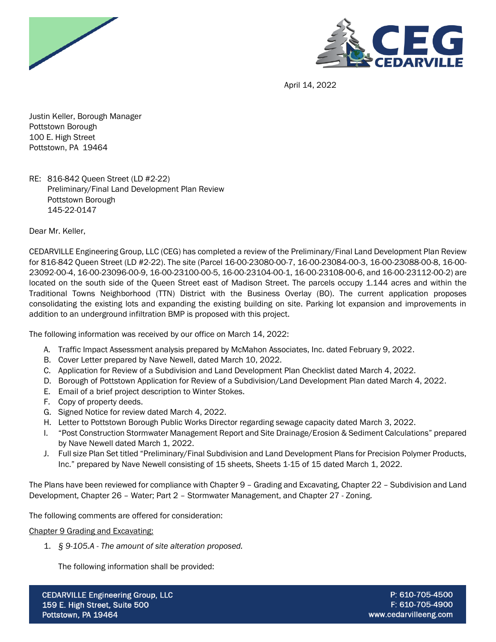



April 14, 2022

Justin Keller, Borough Manager Pottstown Borough 100 E. High Street Pottstown, PA 19464

RE: 816-842 Queen Street (LD #2-22) Preliminary/Final Land Development Plan Review Pottstown Borough 145-22-0147

Dear Mr. Keller,

CEDARVILLE Engineering Group, LLC (CEG) has completed a review of the Preliminary/Final Land Development Plan Review for 816-842 Queen Street (LD #2-22). The site (Parcel 16-00-23080-00-7, 16-00-23084-00-3, 16-00-23088-00-8, 16-00- 23092-00-4, 16-00-23096-00-9, 16-00-23100-00-5, 16-00-23104-00-1, 16-00-23108-00-6, and 16-00-23112-00-2) are located on the south side of the Queen Street east of Madison Street. The parcels occupy 1.144 acres and within the Traditional Towns Neighborhood (TTN) District with the Business Overlay (BO). The current application proposes consolidating the existing lots and expanding the existing building on site. Parking lot expansion and improvements in addition to an underground infiltration BMP is proposed with this project.

The following information was received by our office on March 14, 2022:

- A. Traffic Impact Assessment analysis prepared by McMahon Associates, Inc. dated February 9, 2022.
- B. Cover Letter prepared by Nave Newell, dated March 10, 2022.
- C. Application for Review of a Subdivision and Land Development Plan Checklist dated March 4, 2022.
- D. Borough of Pottstown Application for Review of a Subdivision/Land Development Plan dated March 4, 2022.
- E. Email of a brief project description to Winter Stokes.
- F. Copy of property deeds.
- G. Signed Notice for review dated March 4, 2022.
- H. Letter to Pottstown Borough Public Works Director regarding sewage capacity dated March 3, 2022.
- I. "Post Construction Stormwater Management Report and Site Drainage/Erosion & Sediment Calculations" prepared by Nave Newell dated March 1, 2022.
- J. Full size Plan Set titled "Preliminary/Final Subdivision and Land Development Plans for Precision Polymer Products, Inc." prepared by Nave Newell consisting of 15 sheets, Sheets 1-15 of 15 dated March 1, 2022.

The Plans have been reviewed for compliance with Chapter 9 – Grading and Excavating, Chapter 22 – Subdivision and Land Development, Chapter 26 – Water; Part 2 – Stormwater Management, and Chapter 27 - Zoning.

The following comments are offered for consideration:

Chapter 9 Grading and Excavating:

1. *§ 9-105.A - The amount of site alteration proposed.*

The following information shall be provided: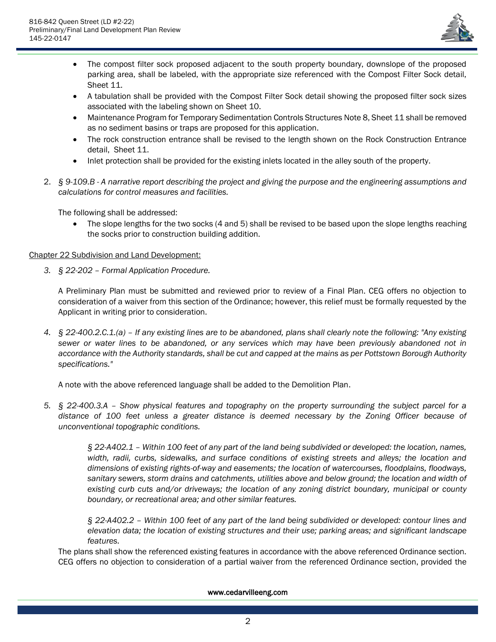

- The compost filter sock proposed adjacent to the south property boundary, downslope of the proposed parking area, shall be labeled, with the appropriate size referenced with the Compost Filter Sock detail, Sheet 11.
- A tabulation shall be provided with the Compost Filter Sock detail showing the proposed filter sock sizes associated with the labeling shown on Sheet 10.
- Maintenance Program for Temporary Sedimentation Controls Structures Note 8, Sheet 11 shall be removed as no sediment basins or traps are proposed for this application.
- The rock construction entrance shall be revised to the length shown on the Rock Construction Entrance detail, Sheet 11.
- Inlet protection shall be provided for the existing inlets located in the alley south of the property.
- 2. *§ 9-109.B - A narrative report describing the project and giving the purpose and the engineering assumptions and calculations for control measures and facilities.*

The following shall be addressed:

• The slope lengths for the two socks (4 and 5) shall be revised to be based upon the slope lengths reaching the socks prior to construction building addition.

# Chapter 22 Subdivision and Land Development:

*3. § 22-202 – Formal Application Procedure.*

A Preliminary Plan must be submitted and reviewed prior to review of a Final Plan. CEG offers no objection to consideration of a waiver from this section of the Ordinance; however, this relief must be formally requested by the Applicant in writing prior to consideration.

*4. § 22-400.2.C.1.(a) – If any existing lines are to be abandoned, plans shall clearly note the following: "Any existing sewer or water lines to be abandoned, or any services which may have been previously abandoned not in accordance with the Authority standards, shall be cut and capped at the mains as per Pottstown Borough Authority specifications."*

A note with the above referenced language shall be added to the Demolition Plan.

*5. § 22-400.3.A – Show physical features and topography on the property surrounding the subject parcel for a distance of 100 feet unless a greater distance is deemed necessary by the Zoning Officer because of unconventional topographic conditions.*

> *§ 22-A402.1 – Within 100 feet of any part of the land being subdivided or developed: the location, names, width, radii, curbs, sidewalks, and surface conditions of existing streets and alleys; the location and dimensions of existing rights-of-way and easements; the location of watercourses, floodplains, floodways, sanitary sewers, storm drains and catchments, utilities above and below ground; the location and width of existing curb cuts and/or driveways; the location of any zoning district boundary, municipal or county boundary, or recreational area; and other similar features.*

> *§ 22-A402.2 – Within 100 feet of any part of the land being subdivided or developed: contour lines and elevation data; the location of existing structures and their use; parking areas; and significant landscape features.*

The plans shall show the referenced existing features in accordance with the above referenced Ordinance section. CEG offers no objection to consideration of a partial waiver from the referenced Ordinance section, provided the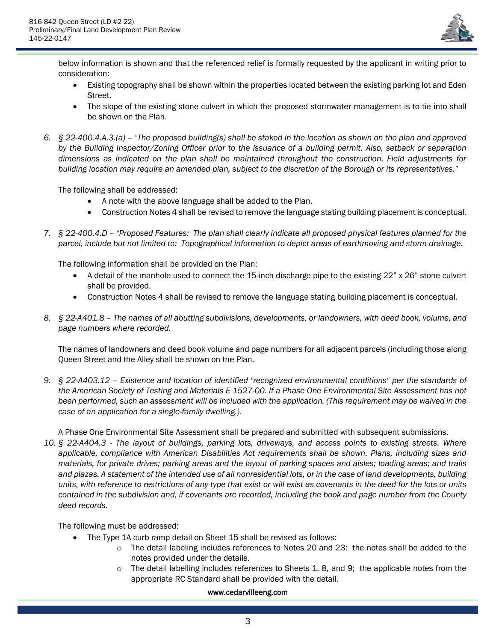

below information is shown and that the referenced relief is formally requested by the applicant in writing prior to consideration:

- Existing topography shall be shown within the properties located between the existing parking lot and Eden Street.
- The slope of the existing stone culvert in which the proposed stormwater management is to tie into shall be shown on the Plan.
- *6. § 22-400.4.A.3.(a) – "The proposed building(s) shall be staked in the location as shown on the plan and approved by the Building Inspector/Zoning Officer prior to the issuance of a building permit. Also, setback or separation dimensions as indicated on the plan shall be maintained throughout the construction. Field adjustments for building location may require an amended plan, subject to the discretion of the Borough or its representatives."*

The following shall be addressed:

- A note with the above language shall be added to the Plan.
- Construction Notes 4 shall be revised to remove the language stating building placement is conceptual.
- *7. § 22-400.4.D – "Proposed Features: The plan shall clearly indicate all proposed physical features planned for the parcel, include but not limited to: Topographical information to depict areas of earthmoving and storm drainage.*

The following information shall be provided on the Plan:

- A detail of the manhole used to connect the 15-inch discharge pipe to the existing 22" x 26" stone culvert shall be provided.
- Construction Notes 4 shall be revised to remove the language stating building placement is conceptual.
- *8. § 22-A401.8 – The names of all abutting subdivisions, developments, or landowners, with deed book, volume, and page numbers where recorded.*

The names of landowners and deed book volume and page numbers for all adjacent parcels (including those along Queen Street and the Alley shall be shown on the Plan.

*9. § 22-A403.12 – Existence and location of identified "recognized environmental conditions" per the standards of the American Society of Testing and Materials E 1527-00. If a Phase One Environmental Site Assessment has not been performed, such an assessment will be included with the application. (This requirement may be waived in the case of an application for a single-family dwelling.).*

A Phase One Environmental Site Assessment shall be prepared and submitted with subsequent submissions.

*10. § 22-A404.3 - The layout of buildings, parking lots, driveways, and access points to existing streets. Where applicable, compliance with American Disabilities Act requirements shall be shown. Plans, including sizes and materials, for private drives; parking areas and the layout of parking spaces and aisles; loading areas; and trails and plazas. A statement of the intended use of all nonresidential lots, or in the case of land developments, building units, with reference to restrictions of any type that exist or will exist as covenants in the deed for the lots or units contained in the subdivision and, if covenants are recorded, including the book and page number from the County deed records.*

The following must be addressed:

- The Type 1A curb ramp detail on Sheet 15 shall be revised as follows:
	- o The detail labeling includes references to Notes 20 and 23: the notes shall be added to the notes provided under the details.
	- $\circ$  The detail labelling includes references to Sheets 1, 8, and 9; the applicable notes from the appropriate RC Standard shall be provided with the detail.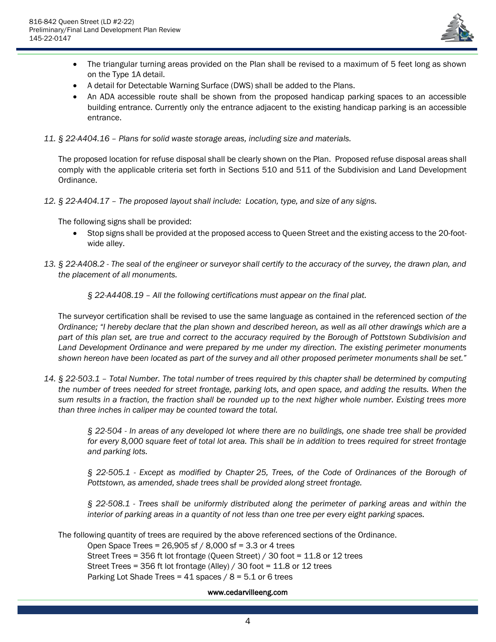

- The triangular turning areas provided on the Plan shall be revised to a maximum of 5 feet long as shown on the Type 1A detail.
- A detail for Detectable Warning Surface (DWS) shall be added to the Plans.
- An ADA accessible route shall be shown from the proposed handicap parking spaces to an accessible building entrance. Currently only the entrance adjacent to the existing handicap parking is an accessible entrance.
- *11. § 22-A404.16 – Plans for solid waste storage areas, including size and materials.*

The proposed location for refuse disposal shall be clearly shown on the Plan. Proposed refuse disposal areas shall comply with the applicable criteria set forth in Sections 510 and 511 of the Subdivision and Land Development Ordinance.

*12. § 22-A404.17 – The proposed layout shall include: Location, type, and size of any signs.*

The following signs shall be provided:

- Stop signs shall be provided at the proposed access to Queen Street and the existing access to the 20-footwide alley.
- *13. § 22-A408.2 - The seal of the engineer or surveyor shall certify to the accuracy of the survey, the drawn plan, and the placement of all monuments.*

*§ 22-A4408.19 – All the following certifications must appear on the final plat.*

The surveyor certification shall be revised to use the same language as contained in the referenced section *of the Ordinance; "I hereby declare that the plan shown and described hereon, as well as all other drawings which are a part of this plan set, are true and correct to the accuracy required by the Borough of Pottstown Subdivision and Land Development Ordinance and were prepared by me under my direction. The existing perimeter monuments shown hereon have been located as part of the survey and all other proposed perimeter monuments shall be set."*

*14. § 22-503.1 – Total Number. The total number of trees required by this chapter shall be determined by computing the number of trees needed for street frontage, parking lots, and open space, and adding the results. When the sum results in a fraction, the fraction shall be rounded up to the next higher whole number. Existing trees more than three inches in caliper may be counted toward the total.*

> *§ 22-504 - In areas of any developed lot where there are no buildings, one shade tree shall be provided for every 8,000 square feet of total lot area. This shall be in addition to trees required for street frontage and parking lots.*

> *§ 22-505.1 - Except as modified by Chapter [25,](https://ecode360.com/14223187#14223187) Trees, of the Code of Ordinances of the Borough of Pottstown, as amended, shade trees shall be provided along street frontage.*

> *§ 22-508.1 - Trees shall be uniformly distributed along the perimeter of parking areas and within the interior of parking areas in a quantity of not less than one tree per every eight parking spaces.*

The following quantity of trees are required by the above referenced sections of the Ordinance.

Open Space Trees = 26,905 sf / 8,000 sf = 3.3 or 4 trees Street Trees = 356 ft lot frontage (Queen Street) / 30 foot = 11.8 or 12 trees Street Trees = 356 ft lot frontage (Alley) / 30 foot = 11.8 or 12 trees Parking Lot Shade Trees =  $41$  spaces /  $8 = 5.1$  or 6 trees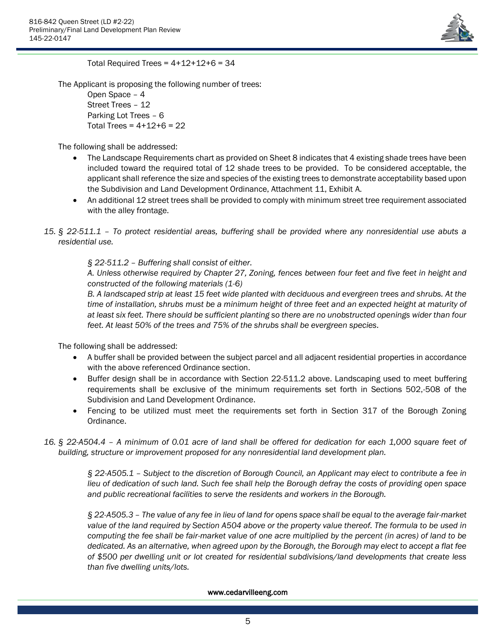

Total Required Trees =  $4+12+12+6 = 34$ 

The Applicant is proposing the following number of trees:

Open Space – 4 Street Trees – 12 Parking Lot Trees – 6 Total Trees =  $4+12+6 = 22$ 

The following shall be addressed:

- The Landscape Requirements chart as provided on Sheet 8 indicates that 4 existing shade trees have been included toward the required total of 12 shade trees to be provided. To be considered acceptable, the applicant shall reference the size and species of the existing trees to demonstrate acceptability based upon the Subdivision and Land Development Ordinance, Attachment 11, Exhibit A.
- An additional 12 street trees shall be provided to comply with minimum street tree requirement associated with the alley frontage.
- *15. § 22-511.1 – To protect residential areas, buffering shall be provided where any nonresidential use abuts a residential use.*

*§ 22-511.2 – Buffering shall consist of either.*

*A. Unless otherwise required by Chapter 27, Zoning, fences between four feet and five feet in height and constructed of the following materials (1-6)*

*B. A landscaped strip at least 15 feet wide planted with deciduous and evergreen trees and shrubs. At the time of installation, shrubs must be a minimum height of three feet and an expected height at maturity of at least six feet. There should be sufficient planting so there are no unobstructed openings wider than four feet. At least 50% of the trees and 75% of the shrubs shall be evergreen species.*

The following shall be addressed:

- A buffer shall be provided between the subject parcel and all adjacent residential properties in accordance with the above referenced Ordinance section.
- Buffer design shall be in accordance with Section 22-511.2 above. Landscaping used to meet buffering requirements shall be exclusive of the minimum requirements set forth in Sections 502,-508 of the Subdivision and Land Development Ordinance.
- Fencing to be utilized must meet the requirements set forth in Section 317 of the Borough Zoning Ordinance.
- *16. § 22-A504.4 – A minimum of 0.01 acre of land shall be offered for dedication for each 1,000 square feet of building, structure or improvement proposed for any nonresidential land development plan.*

*§ 22-A505.1 – Subject to the discretion of Borough Council, an Applicant may elect to contribute a fee in lieu of dedication of such land. Such fee shall help the Borough defray the costs of providing open space and public recreational facilities to serve the residents and workers in the Borough.*

*§ 22-A505.3 – The value of any fee in lieu of land for opens space shall be equal to the average fair-market value of the land required by Section A504 above or the property value thereof. The formula to be used in computing the fee shall be fair-market value of one acre multiplied by the percent (in acres) of land to be dedicated. As an alternative, when agreed upon by the Borough, the Borough may elect to accept a flat fee of \$500 per dwelling unit or lot created for residential subdivisions/land developments that create less than five dwelling units/lots.*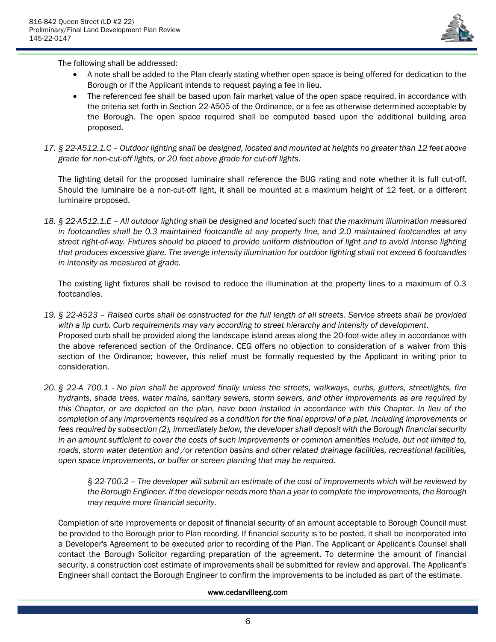

The following shall be addressed:

- A note shall be added to the Plan clearly stating whether open space is being offered for dedication to the Borough or if the Applicant intends to request paying a fee in lieu.
- The referenced fee shall be based upon fair market value of the open space required, in accordance with the criteria set forth in Section 22-A505 of the Ordinance, or a fee as otherwise determined acceptable by the Borough. The open space required shall be computed based upon the additional building area proposed.
- *17. § 22-A512.1.C – Outdoor lighting shall be designed, located and mounted at heights no greater than 12 feet above grade for non-cut-off lights, or 20 feet above grade for cut-off lights.*

The lighting detail for the proposed luminaire shall reference the BUG rating and note whether it is full cut-off. Should the luminaire be a non-cut-off light, it shall be mounted at a maximum height of 12 feet, or a different luminaire proposed.

*18. § 22-A512.1.E – All outdoor lighting shall be designed and located such that the maximum illumination measured in footcandles shall be 0.3 maintained footcandle at any property line, and 2.0 maintained footcandles at any street right-of-way. Fixtures should be placed to provide uniform distribution of light and to avoid intense lighting that produces excessive glare. The avenge intensity illumination for outdoor lighting shall not exceed 6 footcandles in intensity as measured at grade.*

The existing light fixtures shall be revised to reduce the illumination at the property lines to a maximum of 0.3 footcandles.

- *19. § 22-A523 – Raised curbs shall be constructed for the full length of all streets. Service streets shall be provided with a lip curb. Curb requirements may vary according to street hierarchy and intensity of development.* Proposed curb shall be provided along the landscape island areas along the 20-foot-wide alley in accordance with the above referenced section of the Ordinance. CEG offers no objection to consideration of a waiver from this section of the Ordinance; however, this relief must be formally requested by the Applicant in writing prior to consideration.
- *20. § 22-A 700.1 - No plan shall be approved finally unless the streets, walkways, curbs, gutters, streetlights, fire hydrants, shade trees, water mains, sanitary sewers, storm sewers, and other improvements as are required by this Chapter, or are depicted on the plan, have been installed in accordance with this Chapter. In lieu of the completion of any improvements required as a condition for the final approval of a plat, including improvements or fees required by subsection (2), immediately below, the developer shall deposit with the Borough financial security in an amount sufficient to cover the costs of such improvements or common amenities include, but not limited to, roads, storm water detention and /or retention basins and other related drainage facilities, recreational facilities, open space improvements, or buffer or screen planting that may be required.*

*§ 22-700.2 – The developer will submit an estimate of the cost of improvements which will be reviewed by the Borough Engineer. If the developer needs more than a year to complete the improvements, the Borough may require more financial security.*

Completion of site improvements or deposit of financial security of an amount acceptable to Borough Council must be provided to the Borough prior to Plan recording. If financial security is to be posted, it shall be incorporated into a Developer's Agreement to be executed prior to recording of the Plan. The Applicant or Applicant's Counsel shall contact the Borough Solicitor regarding preparation of the agreement. To determine the amount of financial security, a construction cost estimate of improvements shall be submitted for review and approval. The Applicant's Engineer shall contact the Borough Engineer to confirm the improvements to be included as part of the estimate.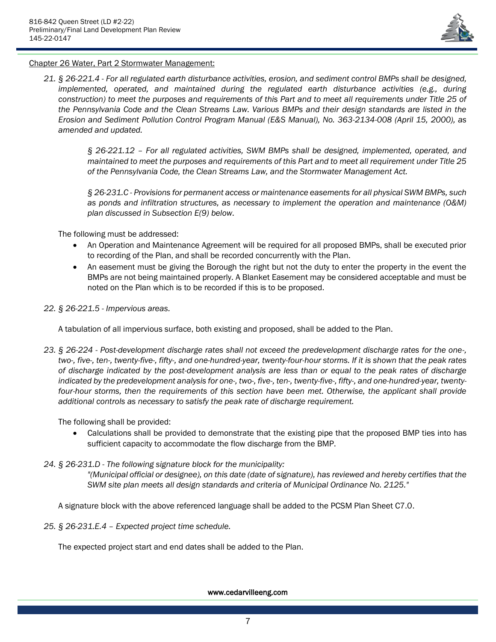

# Chapter 26 Water, Part 2 Stormwater Management:

*21. § 26-221.4 - For all regulated earth disturbance activities, erosion, and sediment control BMPs shall be designed, implemented, operated, and maintained during the regulated earth disturbance activities (e.g., during construction) to meet the purposes and requirements of this Part and to meet all requirements under Title 25 of the Pennsylvania Code and the Clean Streams Law. Various BMPs and their design standards are listed in the Erosion and Sediment Pollution Control Program Manual (E&S Manual), No. 363-2134-008 (April 15, 2000), as amended and updated.*

> *§ 26-221.12 – For all regulated activities, SWM BMPs shall be designed, implemented, operated, and maintained to meet the purposes and requirements of this Part and to meet all requirement under Title 25 of the Pennsylvania Code, the Clean Streams Law, and the Stormwater Management Act.*

> *§ 26-231.C - Provisions for permanent access or maintenance easements for all physical SWM BMPs, such as ponds and infiltration structures, as necessary to implement the operation and maintenance (O&M) plan discussed in Subsection E(9) below.*

The following must be addressed:

- An Operation and Maintenance Agreement will be required for all proposed BMPs, shall be executed prior to recording of the Plan, and shall be recorded concurrently with the Plan.
- An easement must be giving the Borough the right but not the duty to enter the property in the event the BMPs are not being maintained properly. A Blanket Easement may be considered acceptable and must be noted on the Plan which is to be recorded if this is to be proposed.
- *22. § 26-221.5 - Impervious areas.*

A tabulation of all impervious surface, both existing and proposed, shall be added to the Plan.

*23. § 26-224 - Post-development discharge rates shall not exceed the predevelopment discharge rates for the one-, two-, five-, ten-, twenty-five-, fifty-, and one-hundred-year, twenty-four-hour storms. If it is shown that the peak rates of discharge indicated by the post-development analysis are less than or equal to the peak rates of discharge indicated by the predevelopment analysis for one-, two-, five-, ten-, twenty-five-, fifty-, and one-hundred-year, twenty*four-hour storms, then the requirements of this section have been met. Otherwise, the applicant shall provide *additional controls as necessary to satisfy the peak rate of discharge requirement.*

The following shall be provided:

• Calculations shall be provided to demonstrate that the existing pipe that the proposed BMP ties into has sufficient capacity to accommodate the flow discharge from the BMP.

# *24. § 26-231.D - The following signature block for the municipality:*

*"(Municipal official or designee), on this date (date of signature), has reviewed and hereby certifies that the SWM site plan meets all design standards and criteria of Municipal Ordinance No. 2125."*

A signature block with the above referenced language shall be added to the PCSM Plan Sheet C7.0.

*25. § 26-231.E.4 – Expected project time schedule.*

The expected project start and end dates shall be added to the Plan.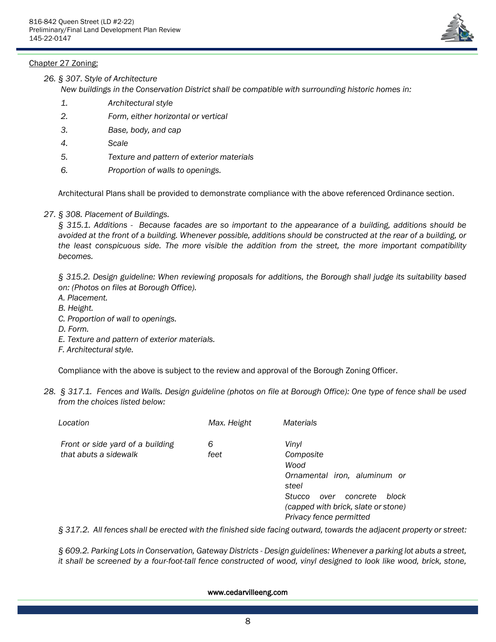# Chapter 27 Zoning:



*26. § 307. Style of Architecture*

*New buildings in the Conservation District shall be compatible with surrounding historic homes in:*

- *1. Architectural style*
- *2. Form, either horizontal or vertical*
- *3. Base, body, and cap*
- *4. Scale*
- *5. Texture and pattern of exterior materials*
- *6. Proportion of walls to openings.*

Architectural Plans shall be provided to demonstrate compliance with the above referenced Ordinance section.

*27. § 308. Placement of Buildings.*

*§ 315.1. Additions - Because facades are so important to the appearance of a building, additions should be avoided at the front of a building. Whenever possible, additions should be constructed at the rear of a building, or the least conspicuous side. The more visible the addition from the street, the more important compatibility becomes.*

*§ 315.2. Design guideline: When reviewing proposals for additions, the Borough shall judge its suitability based on: (Photos on files at Borough Office).*

- *A. Placement.*
- *B. Height.*
- *C. Proportion of wall to openings.*
- *D. Form.*
- *E. Texture and pattern of exterior materials.*
- *F. Architectural style.*

Compliance with the above is subject to the review and approval of the Borough Zoning Officer.

*28. § 317.1. Fences and Walls. Design guideline (photos on file at Borough Office): One type of fence shall be used from the choices listed below:* 

| Location                                                  | Max. Height | <b>Materials</b>                                                                                                                                                             |
|-----------------------------------------------------------|-------------|------------------------------------------------------------------------------------------------------------------------------------------------------------------------------|
| Front or side yard of a building<br>that abuts a sidewalk | 6<br>feet   | Vinyl<br>Composite<br>Wood<br>Ornamental iron, aluminum or<br>steel<br>Stucco<br>block<br>concrete<br>over<br>(capped with brick, slate or stone)<br>Privacy fence permitted |

*§ 317.2. All fences shall be erected with the finished side facing outward, towards the adjacent property or street:* 

*§ 609.2. Parking Lots in Conservation, Gateway Districts - Design guidelines: Whenever a parking lot abuts a street, it shall be screened by a four-foot-tall fence constructed of wood, vinyl designed to look like wood, brick, stone,*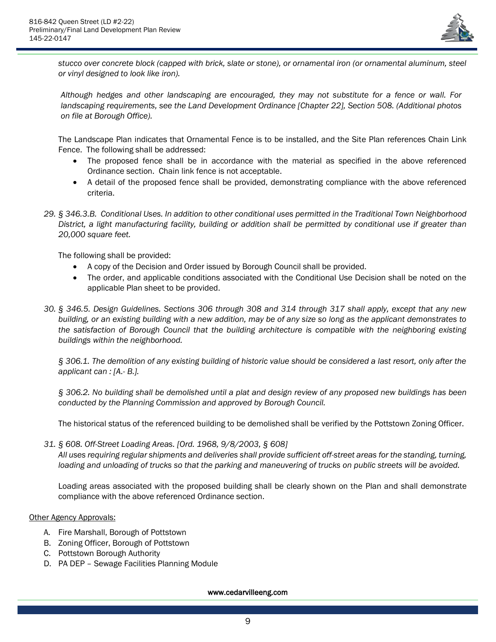

*stucco over concrete block (capped with brick, slate or stone), or ornamental iron (or ornamental aluminum, steel or vinyl designed to look like iron).*

*Although hedges and other landscaping are encouraged, they may not substitute for a fence or wall. For landscaping requirements, see the Land Development Ordinance [Chapter [22\]](https://ecode360.com/14222390#14222390), Section 508. (Additional photos on file at Borough Office).*

The Landscape Plan indicates that Ornamental Fence is to be installed, and the Site Plan references Chain Link Fence. The following shall be addressed:

- The proposed fence shall be in accordance with the material as specified in the above referenced Ordinance section. Chain link fence is not acceptable.
- A detail of the proposed fence shall be provided, demonstrating compliance with the above referenced criteria.
- *29. § 346.3.B. Conditional Uses. In addition to other conditional uses permitted in the Traditional Town Neighborhood District, a light manufacturing facility, building or addition shall be permitted by conditional use if greater than 20,000 square feet.*

The following shall be provided:

- A copy of the Decision and Order issued by Borough Council shall be provided.
- The order, and applicable conditions associated with the Conditional Use Decision shall be noted on the applicable Plan sheet to be provided.
- *30. § 346.5. Design Guidelines. Sections 306 through 308 and 314 through 317 shall apply, except that any new building, or an existing building with a new addition, may be of any size so long as the applicant demonstrates to the satisfaction of Borough Council that the building architecture is compatible with the neighboring existing buildings within the neighborhood.*

*§ 306.1. The demolition of any existing building of historic value should be considered a last resort, only after the applicant can : [A.- B.].*

*§ 306.2. No building shall be demolished until a plat and design review of any proposed new buildings has been conducted by the Planning Commission and approved by Borough Council.*

The historical status of the referenced building to be demolished shall be verified by the Pottstown Zoning Officer.

*31. § 608[. Off-Street Loading Areas.](https://ecode360.com/14224660#14224660) [Ord. 1968, 9/8/2003, § 608]*

*All uses requiring regular shipments and deliveries shall provide sufficient off-street areas for the standing, turning, loading and unloading of trucks so that the parking and maneuvering of trucks on public streets will be avoided.*

Loading areas associated with the proposed building shall be clearly shown on the Plan and shall demonstrate compliance with the above referenced Ordinance section.

Other Agency Approvals:

- A. Fire Marshall, Borough of Pottstown
- B. Zoning Officer, Borough of Pottstown
- C. Pottstown Borough Authority
- D. PA DEP Sewage Facilities Planning Module